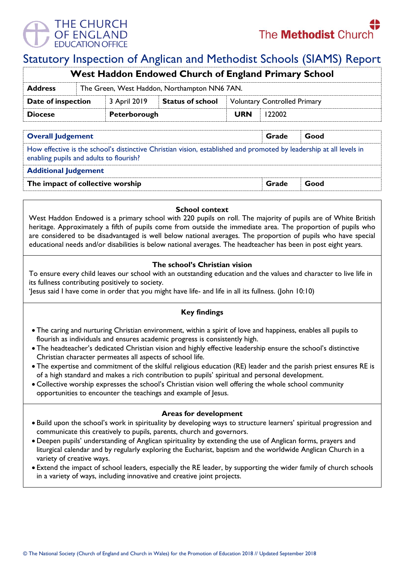# THE CHURCH OF ENGLAND

# Statutory Inspection of Anglican and Methodist Schools (SIAMS) Report

| <b>West Haddon Endowed Church of England Primary School</b> |                                              |              |                         |                                     |        |  |  |  |
|-------------------------------------------------------------|----------------------------------------------|--------------|-------------------------|-------------------------------------|--------|--|--|--|
| <b>Address</b>                                              | The Green, West Haddon, Northampton NN6 7AN. |              |                         |                                     |        |  |  |  |
| Date of inspection                                          |                                              | 3 April 2019 | <b>Status of school</b> | <b>Voluntary Controlled Primary</b> |        |  |  |  |
| <b>Diocese</b>                                              |                                              | Peterborough |                         | <b>URN</b>                          | 122002 |  |  |  |
|                                                             |                                              |              |                         |                                     |        |  |  |  |

| <b>Overall Judgement</b>                                                                                                                                       | Grade | Good |
|----------------------------------------------------------------------------------------------------------------------------------------------------------------|-------|------|
| How effective is the school's distinctive Christian vision, established and promoted by leadership at all levels in<br>enabling pupils and adults to flourish? |       |      |
| <b>Additional Judgement</b>                                                                                                                                    |       |      |
| The impact of collective worship                                                                                                                               | Grade | Good |

#### **School context**

West Haddon Endowed is a primary school with 220 pupils on roll. The majority of pupils are of White British heritage. Approximately a fifth of pupils come from outside the immediate area. The proportion of pupils who are considered to be disadvantaged is well below national averages. The proportion of pupils who have special educational needs and/or disabilities is below national averages. The headteacher has been in post eight years.

### **The school's Christian vision**

To ensure every child leaves our school with an outstanding education and the values and character to live life in its fullness contributing positively to society.

'Jesus said I have come in order that you might have life- and life in all its fullness. (John 10:10)

## **Key findings**

- The caring and nurturing Christian environment, within a spirit of love and happiness, enables all pupils to flourish as individuals and ensures academic progress is consistently high.
- The headteacher's dedicated Christian vision and highly effective leadership ensure the school's distinctive Christian character permeates all aspects of school life.
- The expertise and commitment of the skilful religious education (RE) leader and the parish priest ensures RE is of a high standard and makes a rich contribution to pupils' spiritual and personal development.
- Collective worship expresses the school's Christian vision well offering the whole school community opportunities to encounter the teachings and example of Jesus.

#### **Areas for development**

- Build upon the school's work in spirituality by developing ways to structure learners' spiritual progression and communicate this creatively to pupils, parents, church and governors.
- Deepen pupils' understanding of Anglican spirituality by extending the use of Anglican forms, prayers and liturgical calendar and by regularly exploring the Eucharist, baptism and the worldwide Anglican Church in a variety of creative ways.
- Extend the impact of school leaders, especially the RE leader, by supporting the wider family of church schools in a variety of ways, including innovative and creative joint projects.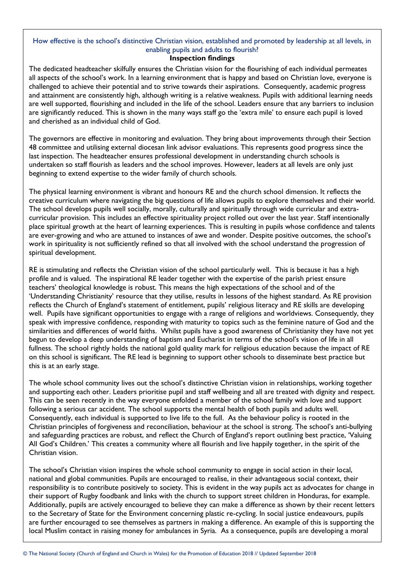# How effective is the school's distinctive Christian vision, established and promoted by leadership at all levels, in enabling pupils and adults to flourish?

#### **Inspection findings**

The dedicated headteacher skilfully ensures the Christian vision for the flourishing of each individual permeates all aspects of the school's work. In a learning environment that is happy and based on Christian love, everyone is challenged to achieve their potential and to strive towards their aspirations. Consequently, academic progress and attainment are consistently high, although writing is a relative weakness. Pupils with additional learning needs are well supported, flourishing and included in the life of the school. Leaders ensure that any barriers to inclusion are significantly reduced. This is shown in the many ways staff go the 'extra mile' to ensure each pupil is loved and cherished as an individual child of God.

The governors are effective in monitoring and evaluation. They bring about improvements through their Section 48 committee and utilising external diocesan link advisor evaluations. This represents good progress since the last inspection. The headteacher ensures professional development in understanding church schools is undertaken so staff flourish as leaders and the school improves. However, leaders at all levels are only just beginning to extend expertise to the wider family of church schools.

The physical learning environment is vibrant and honours RE and the church school dimension. It reflects the creative curriculum where navigating the big questions of life allows pupils to explore themselves and their world. The school develops pupils well socially, morally, culturally and spiritually through wide curricular and extracurricular provision. This includes an effective spirituality project rolled out over the last year. Staff intentionally place spiritual growth at the heart of learning experiences. This is resulting in pupils whose confidence and talents are ever-growing and who are attuned to instances of awe and wonder. Despite positive outcomes, the school's work in spirituality is not sufficiently refined so that all involved with the school understand the progression of spiritual development.

RE is stimulating and reflects the Christian vision of the school particularly well. This is because it has a high profile and is valued. The inspirational RE leader together with the expertise of the parish priest ensure teachers' theological knowledge is robust. This means the high expectations of the school and of the 'Understanding Christianity' resource that they utilise, results in lessons of the highest standard. As RE provision reflects the Church of England's statement of entitlement, pupils' religious literacy and RE skills are developing well. Pupils have significant opportunities to engage with a range of religions and worldviews. Consequently, they speak with impressive confidence, responding with maturity to topics such as the feminine nature of God and the similarities and differences of world faiths. Whilst pupils have a good awareness of Christianity they have not yet begun to develop a deep understanding of baptism and Eucharist in terms of the school's vision of life in all fullness. The school rightly holds the national gold quality mark for religious education because the impact of RE on this school is significant. The RE lead is beginning to support other schools to disseminate best practice but this is at an early stage.

The whole school community lives out the school's distinctive Christian vision in relationships, working together and supporting each other. Leaders prioritise pupil and staff wellbeing and all are treated with dignity and respect. This can be seen recently in the way everyone enfolded a member of the school family with love and support following a serious car accident. The school supports the mental health of both pupils and adults well. Consequently, each individual is supported to live life to the full. As the behaviour policy is rooted in the Christian principles of forgiveness and reconciliation, behaviour at the school is strong. The school's anti-bullying and safeguarding practices are robust, and reflect the Church of England's report outlining best practice, 'Valuing All God's Children.' This creates a community where all flourish and live happily together, in the spirit of the Christian vision.

The school's Christian vision inspires the whole school community to engage in social action in their local, national and global communities. Pupils are encouraged to realise, in their advantageous social context, their responsibility is to contribute positively to society. This is evident in the way pupils act as advocates for change in their support of Rugby foodbank and links with the church to support street children in Honduras, for example. Additionally, pupils are actively encouraged to believe they can make a difference as shown by their recent letters to the Secretary of State for the Environment concerning plastic re-cycling. In social justice endeavours, pupils are further encouraged to see themselves as partners in making a difference. An example of this is supporting the local Muslim contact in raising money for ambulances in Syria. As a consequence, pupils are developing a moral